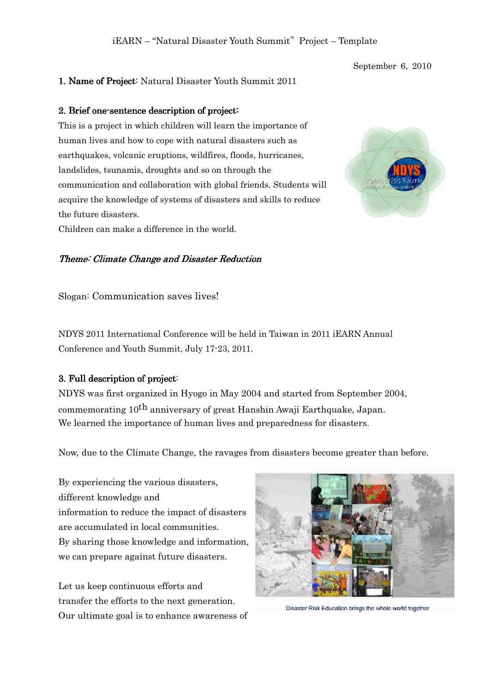### September 6, 2010

### 1. Name of Project: Natural Disaster Youth Summit 2011

### 2. Brief one-sentence description of project:

This is a project in which children will learn the importance of human lives and how to cope with natural disasters such as earthquakes, volcanic eruptions, wildfires, floods, hurricanes, landslides, tsunamis, droughts and so on through the communication and collaboration with global friends. Students will acquire the knowledge of systems of disasters and skills to reduce the future disasters. Children can make a difference in the world.



### Theme: Climate Change and Disaster Reduction

Slogan: Communication saves lives!

NDYS 2011 International Conference will be held in Taiwan in 2011 iEARN Annual Conference and Youth Summit, July 17-23, 2011.

### 3. Full description of project:

NDYS was first organized in Hyogo in May 2004 and started from September 2004, commemorating 10<sup>th</sup> anniversary of great Hanshin Awaji Earthquake, Japan. We learned the importance of human lives and preparedness for disasters.

Now, due to the Climate Change, the ravages from disasters become greater than before.

By experiencing the various disasters, different knowledge and information to reduce the impact of disasters are accumulated in local communities. By sharing those knowledge and information, we can prepare against future disasters.

Let us keep continuous efforts and transfer the efforts to the next generation. Our ultimate goal is to enhance awareness of



Disaster Risk Education brings the whole world together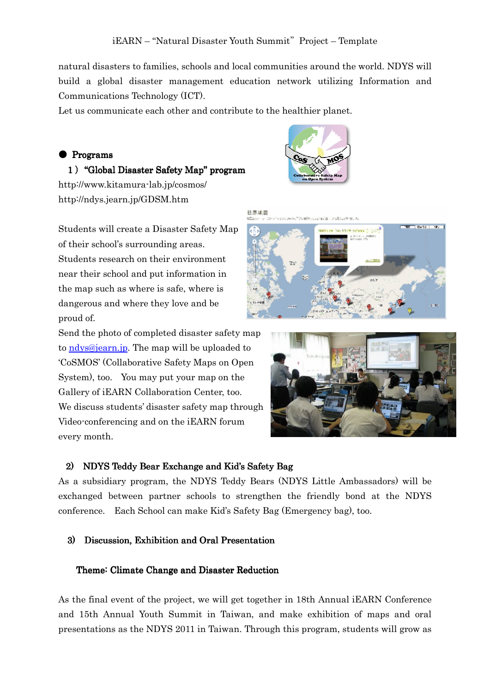natural disasters to families, schools and local communities around the world. NDYS will build a global disaster management education network utilizing Information and Communications Technology (ICT).

Let us communicate each other and contribute to the healthier planet.

### $\bullet$  Programs

1) "Global Disaster Safety Map" program http://www.kitamura-lab.jp/cosmos/ http://ndys.jearn.jp/GDSM.htm



Students will create a Disaster Safety Map of their school's surrounding areas. Students research on their environment near their school and put information in the map such as where is safe, where is dangerous and where they love and be proud of.



#### 世界地図 and in adding the





### 2) NDYS Teddy Bear Exchange and Kid's Safety Bag

As a subsidiary program, the NDYS Teddy Bears (NDYS Little Ambassadors) will be exchanged between partner schools to strengthen the friendly bond at the NDYS conference. Each School can make Kid's Safety Bag (Emergency bag), too.

### 3) Discussion, Exhibition and Oral Presentation

### Theme: Climate Change and Disaster Reduction

As the final event of the project, we will get together in 18th Annual iEARN Conference and 15th Annual Youth Summit in Taiwan, and make exhibition of maps and oral presentations as the NDYS 2011 in Taiwan. Through this program, students will grow as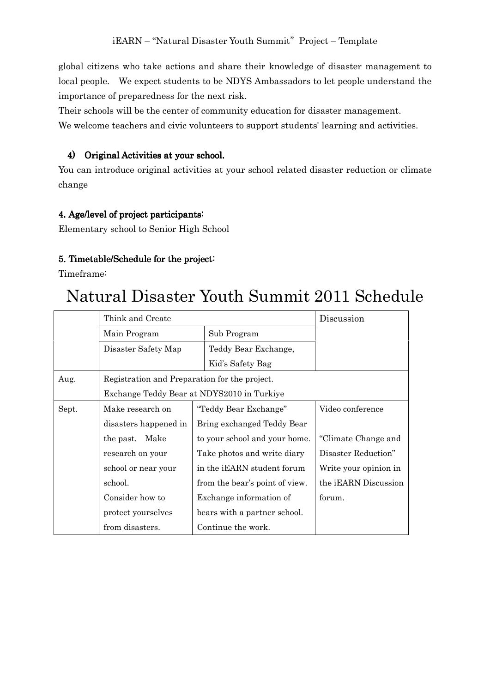global citizens who take actions and share their knowledge of disaster management to local people. We expect students to be NDYS Ambassadors to let people understand the importance of preparedness for the next risk.

Their schools will be the center of community education for disaster management. We welcome teachers and civic volunteers to support students' learning and activities.

# 4) Original Activities at your school.

You can introduce original activities at your school related disaster reduction or climate change

### 4. Age/level of project participants:

Elementary school to Senior High School

# 5. Timetable/Schedule for the project:

Timeframe:

# Natural Disaster Youth Summit 2011 Schedule

|       | Think and Create                              | Discussion                     |                       |  |  |
|-------|-----------------------------------------------|--------------------------------|-----------------------|--|--|
|       | Main Program                                  | Sub Program                    |                       |  |  |
|       | Disaster Safety Map                           | Teddy Bear Exchange,           |                       |  |  |
|       |                                               | Kid's Safety Bag               |                       |  |  |
| Aug.  | Registration and Preparation for the project. |                                |                       |  |  |
|       | Exchange Teddy Bear at NDYS2010 in Turkiye    |                                |                       |  |  |
| Sept. | Make research on                              | "Teddy Bear Exchange"          | Video conference      |  |  |
|       | disasters happened in                         | Bring exchanged Teddy Bear     |                       |  |  |
|       | the past. Make                                | to your school and your home.  | "Climate Change and   |  |  |
|       | research on your                              | Take photos and write diary    | Disaster Reduction"   |  |  |
|       | school or near your                           | in the iEARN student forum     | Write your opinion in |  |  |
|       | school.                                       | from the bear's point of view. | the iEARN Discussion  |  |  |
|       | Consider how to                               | Exchange information of        | forum.                |  |  |
|       | protect yourselves                            | bears with a partner school.   |                       |  |  |
|       | from disasters.                               | Continue the work.             |                       |  |  |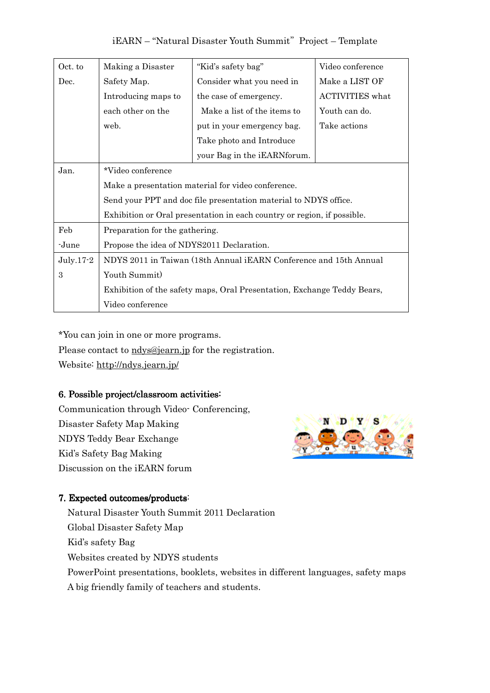| iEARN - "Natural Disaster Youth Summit" Project - Template |  |
|------------------------------------------------------------|--|
|------------------------------------------------------------|--|

| Oct. to     | Making a Disaster                                                       | "Kid's safety bag"           | Video conference       |  |  |
|-------------|-------------------------------------------------------------------------|------------------------------|------------------------|--|--|
| Dec.        | Safety Map.                                                             | Consider what you need in    | Make a LIST OF         |  |  |
|             | Introducing maps to                                                     | the case of emergency.       | <b>ACTIVITIES</b> what |  |  |
|             | each other on the                                                       | Make a list of the items to  | Youth can do.          |  |  |
|             | web.                                                                    | put in your emergency bag.   | Take actions           |  |  |
|             |                                                                         | Take photo and Introduce     |                        |  |  |
|             |                                                                         | your Bag in the iEARN forum. |                        |  |  |
| Jan.        | *Video conference                                                       |                              |                        |  |  |
|             | Make a presentation material for video conference.                      |                              |                        |  |  |
|             | Send your PPT and doc file presentation material to NDYS office.        |                              |                        |  |  |
|             | Exhibition or Oral presentation in each country or region, if possible. |                              |                        |  |  |
| Feb         | Preparation for the gathering.                                          |                              |                        |  |  |
| -June       | Propose the idea of NDYS2011 Declaration.                               |                              |                        |  |  |
| $July.17-2$ | NDYS 2011 in Taiwan (18th Annual iEARN Conference and 15th Annual       |                              |                        |  |  |
| 3           | Youth Summit)                                                           |                              |                        |  |  |
|             | Exhibition of the safety maps, Oral Presentation, Exchange Teddy Bears, |                              |                        |  |  |
|             | Video conference                                                        |                              |                        |  |  |

\*You can join in one or more programs.

Please contact to ndys@jearn.jp for the registration.

Website: http://ndys.jearn.jp/

# 6. Possible project/classroom activities:

Communication through Video- Conferencing, Disaster Safety Map Making NDYS Teddy Bear Exchange Kid's Safety Bag Making Discussion on the iEARN forum



# 7. Expected outcomes/products:

Natural Disaster Youth Summit 2011 Declaration Global Disaster Safety Map Kid's safety Bag Websites created by NDYS students PowerPoint presentations, booklets, websites in different languages, safety maps A big friendly family of teachers and students.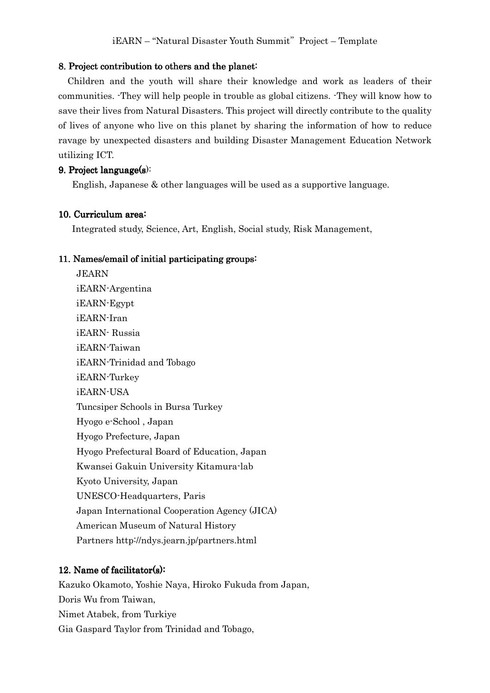### 8. Project contribution to others and the planet:

 Children and the youth will share their knowledge and work as leaders of their communities. -They will help people in trouble as global citizens. -They will know how to save their lives from Natural Disasters. This project will directly contribute to the quality of lives of anyone who live on this planet by sharing the information of how to reduce ravage by unexpected disasters and building Disaster Management Education Network utilizing ICT.

### 9. Project language $(s)$ :

English, Japanese & other languages will be used as a supportive language.

### 10. Curriculum area:

Integrated study, Science, Art, English, Social study, Risk Management,

### 11. Names/email of initial participating groups:

 JEARN iEARN-Argentina iEARN-Egypt iEARN-Iran iEARN- Russia iEARN-Taiwan iEARN-Trinidad and Tobago iEARN-Turkey iEARN-USA Tuncsiper Schools in Bursa Turkey Hyogo e-School , Japan Hyogo Prefecture, Japan Hyogo Prefectural Board of Education, Japan Kwansei Gakuin University Kitamura-lab Kyoto University, Japan UNESCO-Headquarters, Paris Japan International Cooperation Agency (JICA) American Museum of Natural History Partners http://ndys.jearn.jp/partners.html

### 12. Name of facilitator(s):

Kazuko Okamoto, Yoshie Naya, Hiroko Fukuda from Japan, Doris Wu from Taiwan, Nimet Atabek, from Turkiye Gia Gaspard Taylor from Trinidad and Tobago,